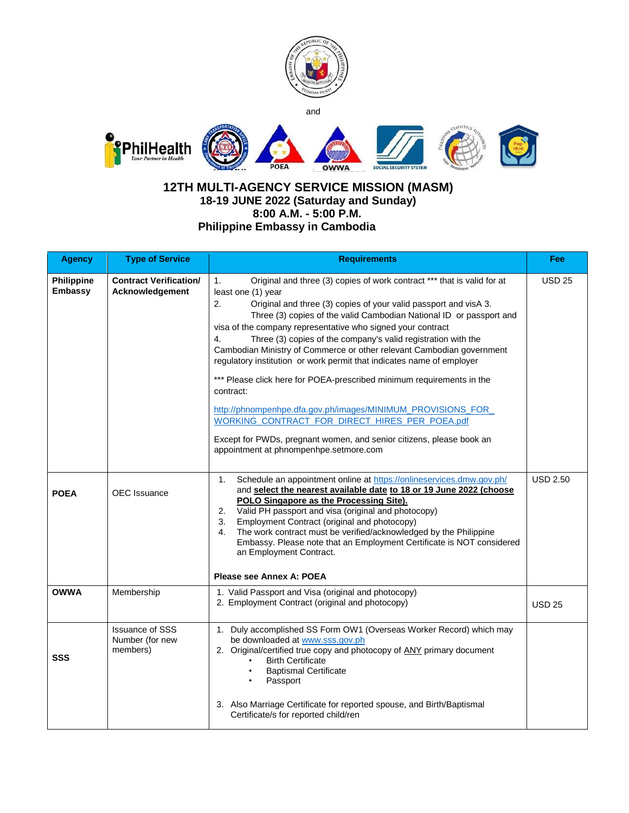

## **12TH MULTI-AGENCY SERVICE MISSION (MASM) 18-19 JUNE 2022 (Saturday and Sunday) 8:00 A.M. - 5:00 P.M. Philippine Embassy in Cambodia**

| <b>Agency</b>                       | <b>Type of Service</b>                                | <b>Requirements</b>                                                                                                                                                                                                                                                                                                                                                                                                                                                                                                                                                                                                                                                                                                                                                                                                                                                    | Fee             |
|-------------------------------------|-------------------------------------------------------|------------------------------------------------------------------------------------------------------------------------------------------------------------------------------------------------------------------------------------------------------------------------------------------------------------------------------------------------------------------------------------------------------------------------------------------------------------------------------------------------------------------------------------------------------------------------------------------------------------------------------------------------------------------------------------------------------------------------------------------------------------------------------------------------------------------------------------------------------------------------|-----------------|
| <b>Philippine</b><br><b>Embassy</b> | <b>Contract Verification/</b><br>Acknowledgement      | 1.<br>Original and three (3) copies of work contract *** that is valid for at<br>least one (1) year<br>Original and three (3) copies of your valid passport and visA 3.<br>2.<br>Three (3) copies of the valid Cambodian National ID or passport and<br>visa of the company representative who signed your contract<br>4.<br>Three (3) copies of the company's valid registration with the<br>Cambodian Ministry of Commerce or other relevant Cambodian government<br>regulatory institution or work permit that indicates name of employer<br>*** Please click here for POEA-prescribed minimum requirements in the<br>contract:<br>http://phnompenhpe.dfa.gov.ph/images/MINIMUM_PROVISIONS_FOR_<br>WORKING_CONTRACT_FOR_DIRECT_HIRES_PER_POEA.pdf<br>Except for PWDs, pregnant women, and senior citizens, please book an<br>appointment at phnompenhpe.setmore.com | <b>USD 25</b>   |
| <b>POEA</b>                         | <b>OEC</b> Issuance                                   | 1.<br>Schedule an appointment online at https://onlineservices.dmw.gov.ph/<br>and select the nearest available date to 18 or 19 June 2022 (choose<br>POLO Singapore as the Processing Site).<br>Valid PH passport and visa (original and photocopy)<br>2.<br>Employment Contract (original and photocopy)<br>3.<br>The work contract must be verified/acknowledged by the Philippine<br>4.<br>Embassy. Please note that an Employment Certificate is NOT considered<br>an Employment Contract.<br>Please see Annex A: POEA                                                                                                                                                                                                                                                                                                                                             | <b>USD 2.50</b> |
| <b>OWWA</b>                         | Membership                                            | 1. Valid Passport and Visa (original and photocopy)<br>2. Employment Contract (original and photocopy)                                                                                                                                                                                                                                                                                                                                                                                                                                                                                                                                                                                                                                                                                                                                                                 | <b>USD 25</b>   |
| <b>SSS</b>                          | <b>Issuance of SSS</b><br>Number (for new<br>members) | 1. Duly accomplished SS Form OW1 (Overseas Worker Record) which may<br>be downloaded at www.sss.gov.ph<br>2. Original/certified true copy and photocopy of ANY primary document<br><b>Birth Certificate</b><br><b>Baptismal Certificate</b><br>Passport<br>3. Also Marriage Certificate for reported spouse, and Birth/Baptismal<br>Certificate/s for reported child/ren                                                                                                                                                                                                                                                                                                                                                                                                                                                                                               |                 |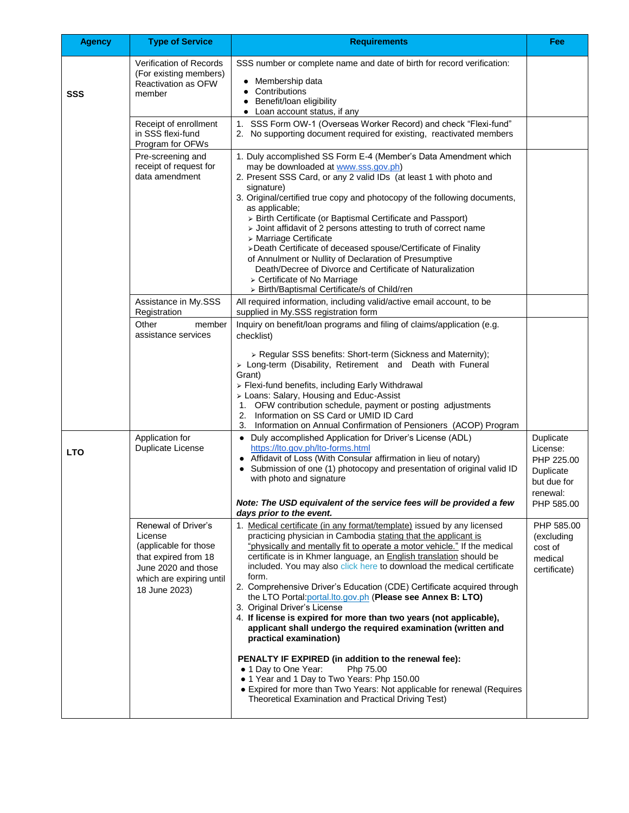| <b>Agency</b> | <b>Type of Service</b>                                                                                                                              | <b>Requirements</b>                                                                                                                                                                                                                                                                                                                                                                                                                                                                                                                                                                                                                                                                                                                                                                                                                                                                                                                                                                                         | Fee                                                                                       |
|---------------|-----------------------------------------------------------------------------------------------------------------------------------------------------|-------------------------------------------------------------------------------------------------------------------------------------------------------------------------------------------------------------------------------------------------------------------------------------------------------------------------------------------------------------------------------------------------------------------------------------------------------------------------------------------------------------------------------------------------------------------------------------------------------------------------------------------------------------------------------------------------------------------------------------------------------------------------------------------------------------------------------------------------------------------------------------------------------------------------------------------------------------------------------------------------------------|-------------------------------------------------------------------------------------------|
| <b>SSS</b>    | Verification of Records<br>(For existing members)<br><b>Reactivation as OFW</b><br>member                                                           | SSS number or complete name and date of birth for record verification:<br>Membership data<br>Contributions<br>Benefit/loan eligibility<br>• Loan account status, if any                                                                                                                                                                                                                                                                                                                                                                                                                                                                                                                                                                                                                                                                                                                                                                                                                                     |                                                                                           |
|               | Receipt of enrollment<br>in SSS flexi-fund<br>Program for OFWs                                                                                      | 1. SSS Form OW-1 (Overseas Worker Record) and check "Flexi-fund"<br>2. No supporting document required for existing, reactivated members                                                                                                                                                                                                                                                                                                                                                                                                                                                                                                                                                                                                                                                                                                                                                                                                                                                                    |                                                                                           |
|               | Pre-screening and<br>receipt of request for<br>data amendment                                                                                       | 1. Duly accomplished SS Form E-4 (Member's Data Amendment which<br>may be downloaded at www.sss.gov.ph)<br>2. Present SSS Card, or any 2 valid IDs (at least 1 with photo and<br>signature)<br>3. Original/certified true copy and photocopy of the following documents,<br>as applicable;<br>> Birth Certificate (or Baptismal Certificate and Passport)<br>> Joint affidavit of 2 persons attesting to truth of correct name<br>> Marriage Certificate<br>>Death Certificate of deceased spouse/Certificate of Finality<br>of Annulment or Nullity of Declaration of Presumptive<br>Death/Decree of Divorce and Certificate of Naturalization<br>$\triangleright$ Certificate of No Marriage<br>> Birth/Baptismal Certificate/s of Child/ren                                                                                                                                                                                                                                                              |                                                                                           |
|               | Assistance in My.SSS<br>Registration                                                                                                                | All required information, including valid/active email account, to be<br>supplied in My.SSS registration form                                                                                                                                                                                                                                                                                                                                                                                                                                                                                                                                                                                                                                                                                                                                                                                                                                                                                               |                                                                                           |
|               | Other<br>member<br>assistance services                                                                                                              | Inquiry on benefit/loan programs and filing of claims/application (e.g.<br>checklist)                                                                                                                                                                                                                                                                                                                                                                                                                                                                                                                                                                                                                                                                                                                                                                                                                                                                                                                       |                                                                                           |
|               |                                                                                                                                                     | > Regular SSS benefits: Short-term (Sickness and Maternity);<br>> Long-term (Disability, Retirement and Death with Funeral<br>Grant)<br>> Flexi-fund benefits, including Early Withdrawal<br>> Loans: Salary, Housing and Educ-Assist<br>1. OFW contribution schedule, payment or posting adjustments<br>2. Information on SS Card or UMID ID Card<br>3.<br>Information on Annual Confirmation of Pensioners (ACOP) Program                                                                                                                                                                                                                                                                                                                                                                                                                                                                                                                                                                                 |                                                                                           |
| LTO           | Application for<br><b>Duplicate License</b>                                                                                                         | Duly accomplished Application for Driver's License (ADL)<br>$\bullet$<br>https://lto.gov.ph/lto-forms.html<br>Affidavit of Loss (With Consular affirmation in lieu of notary)<br>$\bullet$<br>Submission of one (1) photocopy and presentation of original valid ID<br>with photo and signature<br>Note: The USD equivalent of the service fees will be provided a few<br>days prior to the event.                                                                                                                                                                                                                                                                                                                                                                                                                                                                                                                                                                                                          | Duplicate<br>License:<br>PHP 225.00<br>Duplicate<br>but due for<br>renewal:<br>PHP 585.00 |
|               | Renewal of Driver's<br>License<br>(applicable for those<br>that expired from 18<br>June 2020 and those<br>which are expiring until<br>18 June 2023) | 1. Medical certificate (in any format/template) issued by any licensed<br>practicing physician in Cambodia stating that the applicant is<br>"physically and mentally fit to operate a motor vehicle." If the medical<br>certificate is in Khmer language, an <b>English translation</b> should be<br>included. You may also click here to download the medical certificate<br>form.<br>2. Comprehensive Driver's Education (CDE) Certificate acquired through<br>the LTO Portal: portal.lto.gov.ph (Please see Annex B: LTO)<br>3. Original Driver's License<br>4. If license is expired for more than two years (not applicable),<br>applicant shall undergo the required examination (written and<br>practical examination)<br>PENALTY IF EXPIRED (in addition to the renewal fee):<br>Php 75.00<br>• 1 Day to One Year:<br>• 1 Year and 1 Day to Two Years: Php 150.00<br>• Expired for more than Two Years: Not applicable for renewal (Requires<br>Theoretical Examination and Practical Driving Test) | PHP 585.00<br>(excluding<br>cost of<br>medical<br>certificate)                            |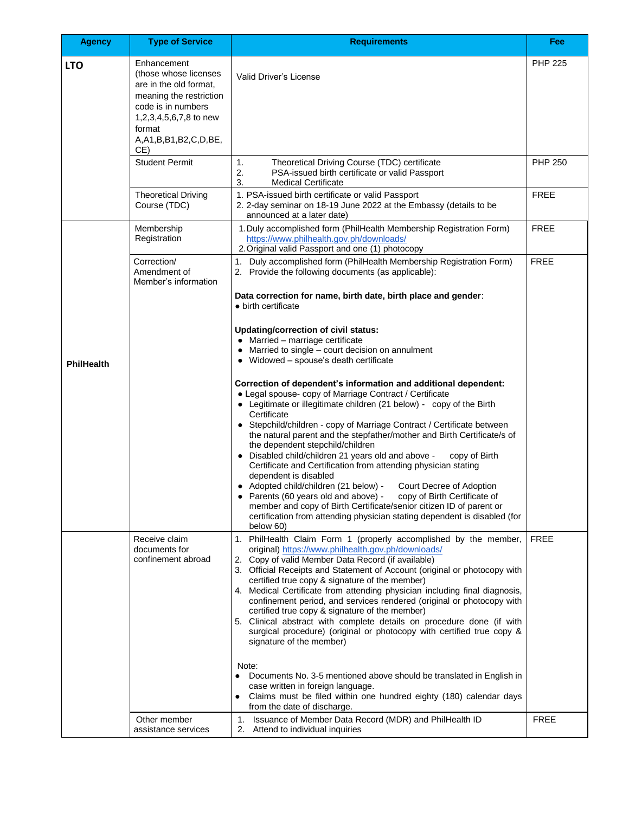| <b>Agency</b>     | <b>Type of Service</b>                                                                                                                                                                    | <b>Requirements</b>                                                                                                                                                                                                                                                                                                                                                                                                                                                                                                                                                                                                                                                                                                                                                                                                                                                                                                                                                                                                                                                                                            | Fee            |
|-------------------|-------------------------------------------------------------------------------------------------------------------------------------------------------------------------------------------|----------------------------------------------------------------------------------------------------------------------------------------------------------------------------------------------------------------------------------------------------------------------------------------------------------------------------------------------------------------------------------------------------------------------------------------------------------------------------------------------------------------------------------------------------------------------------------------------------------------------------------------------------------------------------------------------------------------------------------------------------------------------------------------------------------------------------------------------------------------------------------------------------------------------------------------------------------------------------------------------------------------------------------------------------------------------------------------------------------------|----------------|
| <b>LTO</b>        | Enhancement<br>(those whose licenses<br>are in the old format,<br>meaning the restriction<br>code is in numbers<br>1,2,3,4,5,6,7,8 to new<br>format<br>A, A1, B, B1, B2, C, D, BE,<br>CE) | Valid Driver's License                                                                                                                                                                                                                                                                                                                                                                                                                                                                                                                                                                                                                                                                                                                                                                                                                                                                                                                                                                                                                                                                                         | <b>PHP 225</b> |
|                   | <b>Student Permit</b>                                                                                                                                                                     | 1.<br>Theoretical Driving Course (TDC) certificate<br>2.<br>PSA-issued birth certificate or valid Passport<br>3.<br><b>Medical Certificate</b>                                                                                                                                                                                                                                                                                                                                                                                                                                                                                                                                                                                                                                                                                                                                                                                                                                                                                                                                                                 | <b>PHP 250</b> |
|                   | <b>Theoretical Driving</b><br>Course (TDC)                                                                                                                                                | 1. PSA-issued birth certificate or valid Passport<br>2. 2-day seminar on 18-19 June 2022 at the Embassy (details to be<br>announced at a later date)                                                                                                                                                                                                                                                                                                                                                                                                                                                                                                                                                                                                                                                                                                                                                                                                                                                                                                                                                           | <b>FREE</b>    |
|                   | Membership<br>Registration                                                                                                                                                                | 1. Duly accomplished form (PhilHealth Membership Registration Form)<br>https://www.philhealth.gov.ph/downloads/<br>2. Original valid Passport and one (1) photocopy                                                                                                                                                                                                                                                                                                                                                                                                                                                                                                                                                                                                                                                                                                                                                                                                                                                                                                                                            | <b>FREE</b>    |
|                   | Correction/<br>Amendment of<br>Member's information                                                                                                                                       | 1. Duly accomplished form (PhilHealth Membership Registration Form)<br>2. Provide the following documents (as applicable):<br>Data correction for name, birth date, birth place and gender:                                                                                                                                                                                                                                                                                                                                                                                                                                                                                                                                                                                                                                                                                                                                                                                                                                                                                                                    | <b>FREE</b>    |
| <b>PhilHealth</b> |                                                                                                                                                                                           | $\bullet$ birth certificate<br><b>Updating/correction of civil status:</b><br>$\bullet$ Married - marriage certificate<br>• Married to single – court decision on annulment<br>• Widowed – spouse's death certificate<br>Correction of dependent's information and additional dependent:<br>• Legal spouse- copy of Marriage Contract / Certificate<br>• Legitimate or illegitimate children (21 below) - copy of the Birth<br>Certificate<br>• Stepchild/children - copy of Marriage Contract / Certificate between<br>the natural parent and the stepfather/mother and Birth Certificate/s of<br>the dependent stepchild/children<br>• Disabled child/children 21 years old and above -<br>copy of Birth<br>Certificate and Certification from attending physician stating<br>dependent is disabled<br>• Adopted child/children (21 below) -<br>Court Decree of Adoption<br>Parents (60 years old and above) - copy of Birth Certificate of<br>member and copy of Birth Certificate/senior citizen ID of parent or<br>certification from attending physician stating dependent is disabled (for<br>below 60) |                |
|                   | Receive claim<br>documents for<br>confinement abroad                                                                                                                                      | 1. PhilHealth Claim Form 1 (properly accomplished by the member,<br>original) https://www.philhealth.gov.ph/downloads/<br>2. Copy of valid Member Data Record (if available)<br>3. Official Receipts and Statement of Account (original or photocopy with<br>certified true copy & signature of the member)<br>4. Medical Certificate from attending physician including final diagnosis,<br>confinement period, and services rendered (original or photocopy with<br>certified true copy & signature of the member)<br>5. Clinical abstract with complete details on procedure done (if with<br>surgical procedure) (original or photocopy with certified true copy &<br>signature of the member)<br>Note:<br>Documents No. 3-5 mentioned above should be translated in English in<br>case written in foreign language.<br>Claims must be filed within one hundred eighty (180) calendar days<br>from the date of discharge.                                                                                                                                                                                  | <b>FREE</b>    |
|                   | Other member<br>assistance services                                                                                                                                                       | Issuance of Member Data Record (MDR) and PhilHealth ID<br>1.<br>2.<br>Attend to individual inquiries                                                                                                                                                                                                                                                                                                                                                                                                                                                                                                                                                                                                                                                                                                                                                                                                                                                                                                                                                                                                           | <b>FREE</b>    |